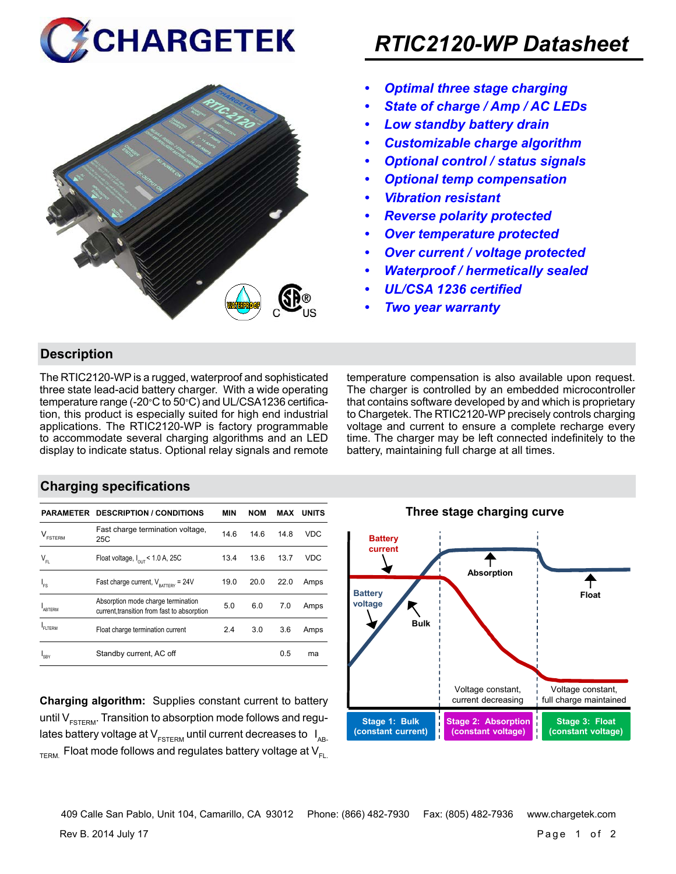



# *RTIC2120-WP Datasheet*

- *• Optimal three stage charging*
- *• State of charge / Amp / AC LEDs*
- *• Low standby battery drain*
- *• Customizable charge algorithm*
- *• Optional control / status signals*
- *• Optional temp compensation*
- *• Vibration resistant*
- *• Reverse polarity protected*
- *• Over temperature protected*
- *• Over current / voltage protected*
- *• Waterproof / hermetically sealed*
- *• UL/CSA 1236 certified*
- *• Two year warranty*

### **Description**

The RTIC2120-WP is a rugged, waterproof and sophisticated three state lead-acid battery charger. With a wide operating temperature range (-20°C to 50°C) and UL/CSA1236 certification, this product is especially suited for high end industrial applications. The RTIC2120-WP is factory programmable to accommodate several charging algorithms and an LED display to indicate status. Optional relay signals and remote temperature compensation is also available upon request. The charger is controlled by an embedded microcontroller that contains software developed by and which is proprietary to Chargetek. The RTIC2120-WP precisely controls charging voltage and current to ensure a complete recharge every time. The charger may be left connected indefinitely to the battery, maintaining full charge at all times.

#### **Charging specifications**

|                                      | <b>PARAMETER DESCRIPTION / CONDITIONS</b>                                         | <b>MIN</b> | <b>NOM</b> | MAX  | <b>UNITS</b> |
|--------------------------------------|-----------------------------------------------------------------------------------|------------|------------|------|--------------|
| $\mathsf{V}_{\texttt{\tiny FSTERN}}$ | Fast charge termination voltage,<br>25C                                           | 14.6       | 14.6       | 14.8 | VDC          |
| $\mathsf{V}_{\mathsf{FL}}$           | Float voltage, $I_{\text{out}}$ < 1.0 A, 25C                                      | 13.4       | 13.6       | 13.7 | <b>VDC</b>   |
| ı.                                   | Fast charge current, $V_{\text{partrev}} = 24V$                                   | 19.0       | 20.0       | 22.0 | Amps         |
| ARTFRM                               | Absorption mode charge termination<br>current, transition from fast to absorption | 5.0        | 6.0        | 7.0  | Amps         |
| FI TFRM                              | Float charge termination current                                                  | 2.4        | 3.0        | 3.6  | Amps         |
| SRY                                  | Standby current, AC off                                                           |            |            | 0.5  | ma           |

**Charging algorithm:** Supplies constant current to battery until  $V_{ESTFRM}$ . Transition to absorption mode follows and regulates battery voltage at  $V_{ESTERM}$  until current decreases to  $I_{AR}$  $T_{\text{ERM}}$  Float mode follows and regulates battery voltage at  $V_{\text{F1}}$ 



409 Calle San Pablo, Unit 104, Camarillo, CA 93012 Phone: (866) 482-7930 Fax: (805) 482-7936 www.chargetek.com

Rev B. 2014 July 17 Page 1 of 2